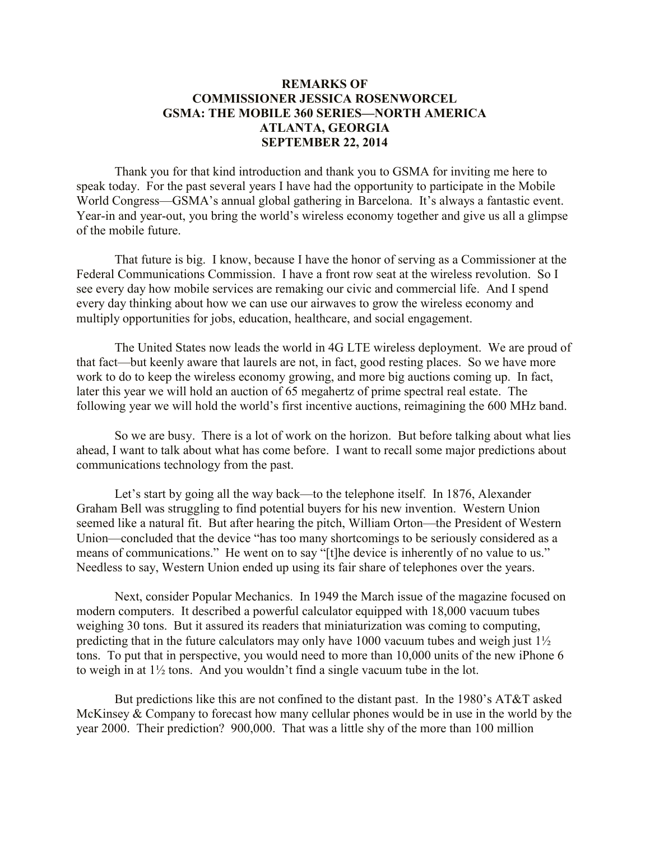# **REMARKS OF COMMISSIONER JESSICA ROSENWORCEL GSMA: THE MOBILE 360 SERIES—NORTH AMERICA ATLANTA, GEORGIA SEPTEMBER 22, 2014**

Thank you for that kind introduction and thank you to GSMA for inviting me here to speak today. For the past several years I have had the opportunity to participate in the Mobile World Congress—GSMA's annual global gathering in Barcelona. It's always a fantastic event. Year-in and year-out, you bring the world's wireless economy together and give us all a glimpse of the mobile future.

That future is big. I know, because I have the honor of serving as a Commissioner at the Federal Communications Commission. I have a front row seat at the wireless revolution. So I see every day how mobile services are remaking our civic and commercial life. And I spend every day thinking about how we can use our airwaves to grow the wireless economy and multiply opportunities for jobs, education, healthcare, and social engagement.

The United States now leads the world in 4G LTE wireless deployment. We are proud of that fact—but keenly aware that laurels are not, in fact, good resting places. So we have more work to do to keep the wireless economy growing, and more big auctions coming up. In fact, later this year we will hold an auction of 65 megahertz of prime spectral real estate. The following year we will hold the world's first incentive auctions, reimagining the 600 MHz band.

So we are busy. There is a lot of work on the horizon. But before talking about what lies ahead, I want to talk about what has come before. I want to recall some major predictions about communications technology from the past.

Let's start by going all the way back—to the telephone itself. In 1876, Alexander Graham Bell was struggling to find potential buyers for his new invention. Western Union seemed like a natural fit. But after hearing the pitch, William Orton—the President of Western Union—concluded that the device "has too many shortcomings to be seriously considered as a means of communications." He went on to say "[t]he device is inherently of no value to us." Needless to say, Western Union ended up using its fair share of telephones over the years.

Next, consider Popular Mechanics. In 1949 the March issue of the magazine focused on modern computers. It described a powerful calculator equipped with 18,000 vacuum tubes weighing 30 tons. But it assured its readers that miniaturization was coming to computing, predicting that in the future calculators may only have 1000 vacuum tubes and weigh just 1½ tons. To put that in perspective, you would need to more than 10,000 units of the new iPhone 6 to weigh in at 1½ tons. And you wouldn't find a single vacuum tube in the lot.

But predictions like this are not confined to the distant past. In the 1980's AT&T asked McKinsey & Company to forecast how many cellular phones would be in use in the world by the year 2000. Their prediction? 900,000. That was a little shy of the more than 100 million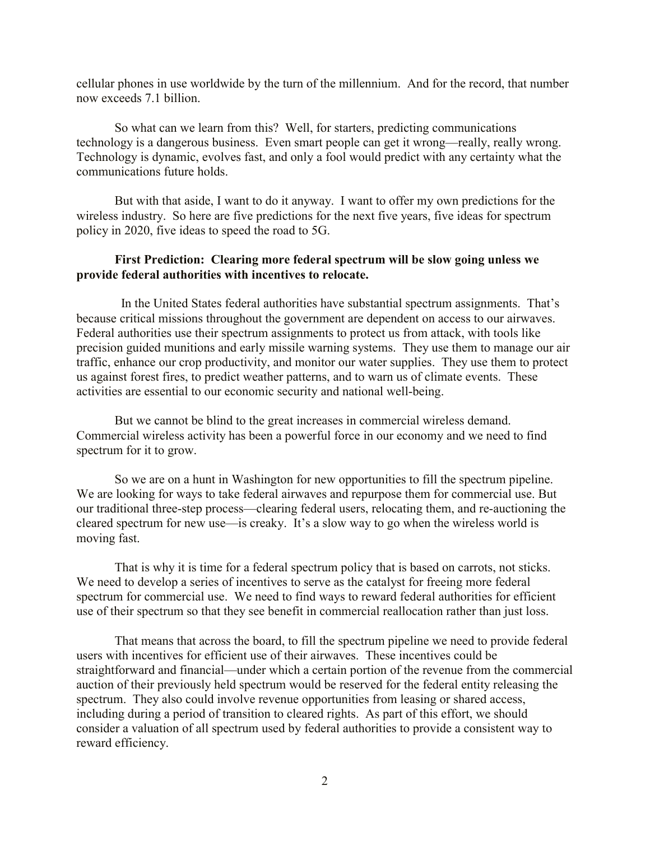cellular phones in use worldwide by the turn of the millennium. And for the record, that number now exceeds 7.1 billion.

So what can we learn from this? Well, for starters, predicting communications technology is a dangerous business. Even smart people can get it wrong—really, really wrong. Technology is dynamic, evolves fast, and only a fool would predict with any certainty what the communications future holds.

But with that aside, I want to do it anyway. I want to offer my own predictions for the wireless industry. So here are five predictions for the next five years, five ideas for spectrum policy in 2020, five ideas to speed the road to 5G.

## **First Prediction: Clearing more federal spectrum will be slow going unless we provide federal authorities with incentives to relocate.**

 In the United States federal authorities have substantial spectrum assignments. That's because critical missions throughout the government are dependent on access to our airwaves. Federal authorities use their spectrum assignments to protect us from attack, with tools like precision guided munitions and early missile warning systems. They use them to manage our air traffic, enhance our crop productivity, and monitor our water supplies. They use them to protect us against forest fires, to predict weather patterns, and to warn us of climate events. These activities are essential to our economic security and national well-being.

But we cannot be blind to the great increases in commercial wireless demand. Commercial wireless activity has been a powerful force in our economy and we need to find spectrum for it to grow.

So we are on a hunt in Washington for new opportunities to fill the spectrum pipeline. We are looking for ways to take federal airwaves and repurpose them for commercial use. But our traditional three-step process—clearing federal users, relocating them, and re-auctioning the cleared spectrum for new use—is creaky. It's a slow way to go when the wireless world is moving fast.

That is why it is time for a federal spectrum policy that is based on carrots, not sticks. We need to develop a series of incentives to serve as the catalyst for freeing more federal spectrum for commercial use. We need to find ways to reward federal authorities for efficient use of their spectrum so that they see benefit in commercial reallocation rather than just loss.

That means that across the board, to fill the spectrum pipeline we need to provide federal users with incentives for efficient use of their airwaves. These incentives could be straightforward and financial—under which a certain portion of the revenue from the commercial auction of their previously held spectrum would be reserved for the federal entity releasing the spectrum. They also could involve revenue opportunities from leasing or shared access, including during a period of transition to cleared rights. As part of this effort, we should consider a valuation of all spectrum used by federal authorities to provide a consistent way to reward efficiency.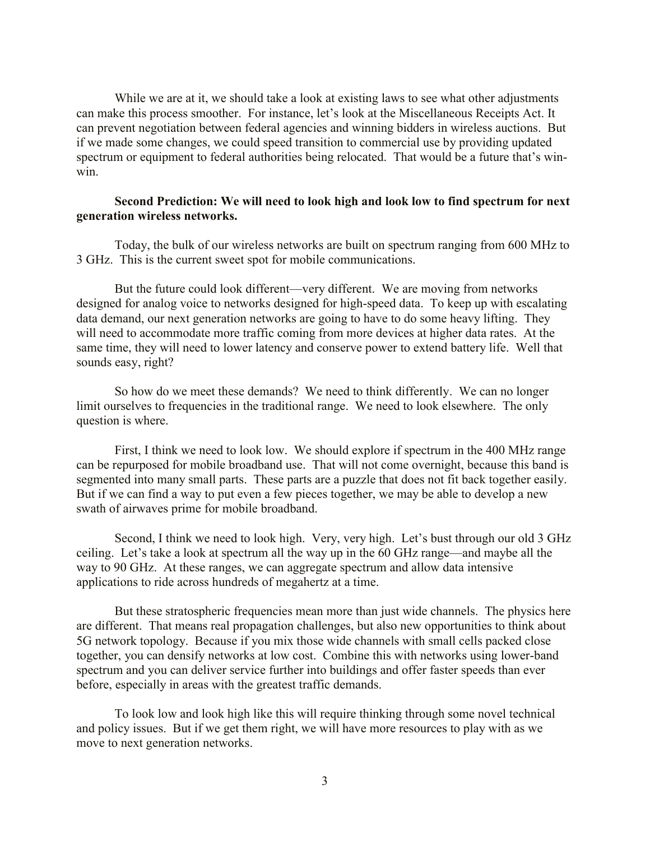While we are at it, we should take a look at existing laws to see what other adjustments can make this process smoother. For instance, let's look at the Miscellaneous Receipts Act. It can prevent negotiation between federal agencies and winning bidders in wireless auctions. But if we made some changes, we could speed transition to commercial use by providing updated spectrum or equipment to federal authorities being relocated. That would be a future that's winwin.

## **Second Prediction: We will need to look high and look low to find spectrum for next generation wireless networks.**

Today, the bulk of our wireless networks are built on spectrum ranging from 600 MHz to 3 GHz. This is the current sweet spot for mobile communications.

But the future could look different—very different. We are moving from networks designed for analog voice to networks designed for high-speed data. To keep up with escalating data demand, our next generation networks are going to have to do some heavy lifting. They will need to accommodate more traffic coming from more devices at higher data rates. At the same time, they will need to lower latency and conserve power to extend battery life. Well that sounds easy, right?

So how do we meet these demands? We need to think differently. We can no longer limit ourselves to frequencies in the traditional range. We need to look elsewhere. The only question is where.

First, I think we need to look low. We should explore if spectrum in the 400 MHz range can be repurposed for mobile broadband use. That will not come overnight, because this band is segmented into many small parts. These parts are a puzzle that does not fit back together easily. But if we can find a way to put even a few pieces together, we may be able to develop a new swath of airwaves prime for mobile broadband.

Second, I think we need to look high. Very, very high. Let's bust through our old 3 GHz ceiling. Let's take a look at spectrum all the way up in the 60 GHz range—and maybe all the way to 90 GHz. At these ranges, we can aggregate spectrum and allow data intensive applications to ride across hundreds of megahertz at a time.

But these stratospheric frequencies mean more than just wide channels. The physics here are different. That means real propagation challenges, but also new opportunities to think about 5G network topology. Because if you mix those wide channels with small cells packed close together, you can densify networks at low cost. Combine this with networks using lower-band spectrum and you can deliver service further into buildings and offer faster speeds than ever before, especially in areas with the greatest traffic demands.

To look low and look high like this will require thinking through some novel technical and policy issues. But if we get them right, we will have more resources to play with as we move to next generation networks.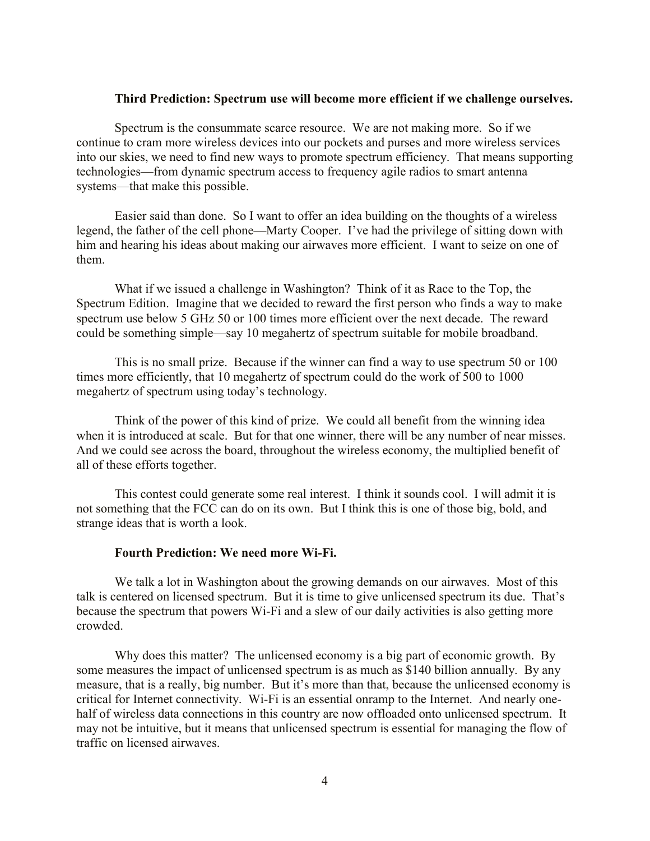#### **Third Prediction: Spectrum use will become more efficient if we challenge ourselves.**

Spectrum is the consummate scarce resource. We are not making more. So if we continue to cram more wireless devices into our pockets and purses and more wireless services into our skies, we need to find new ways to promote spectrum efficiency. That means supporting technologies—from dynamic spectrum access to frequency agile radios to smart antenna systems—that make this possible.

Easier said than done. So I want to offer an idea building on the thoughts of a wireless legend, the father of the cell phone—Marty Cooper. I've had the privilege of sitting down with him and hearing his ideas about making our airwaves more efficient. I want to seize on one of them.

What if we issued a challenge in Washington? Think of it as Race to the Top, the Spectrum Edition. Imagine that we decided to reward the first person who finds a way to make spectrum use below 5 GHz 50 or 100 times more efficient over the next decade. The reward could be something simple—say 10 megahertz of spectrum suitable for mobile broadband.

This is no small prize. Because if the winner can find a way to use spectrum 50 or 100 times more efficiently, that 10 megahertz of spectrum could do the work of 500 to 1000 megahertz of spectrum using today's technology.

Think of the power of this kind of prize. We could all benefit from the winning idea when it is introduced at scale. But for that one winner, there will be any number of near misses. And we could see across the board, throughout the wireless economy, the multiplied benefit of all of these efforts together.

This contest could generate some real interest. I think it sounds cool. I will admit it is not something that the FCC can do on its own. But I think this is one of those big, bold, and strange ideas that is worth a look.

#### **Fourth Prediction: We need more Wi-Fi.**

We talk a lot in Washington about the growing demands on our airwaves. Most of this talk is centered on licensed spectrum. But it is time to give unlicensed spectrum its due. That's because the spectrum that powers Wi-Fi and a slew of our daily activities is also getting more crowded.

Why does this matter? The unlicensed economy is a big part of economic growth. By some measures the impact of unlicensed spectrum is as much as \$140 billion annually. By any measure, that is a really, big number. But it's more than that, because the unlicensed economy is critical for Internet connectivity. Wi-Fi is an essential onramp to the Internet. And nearly onehalf of wireless data connections in this country are now offloaded onto unlicensed spectrum. It may not be intuitive, but it means that unlicensed spectrum is essential for managing the flow of traffic on licensed airwaves.